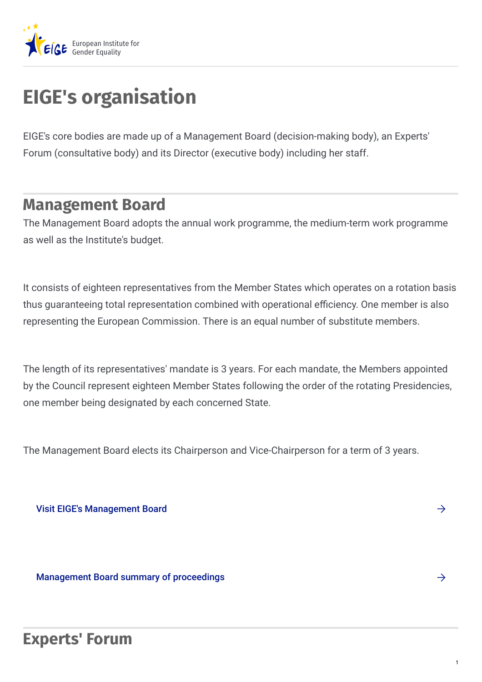

## **EIGE's organisation**

EIGE's core bodies are made up of a Management Board (decision-making body), an Experts' Forum (consultative body) and its Director (executive body) including her staff.

## **Management Board**

The Management Board adopts the annual work programme, the medium-term work programme as well as the Institute's budget.

It consists of eighteen representatives from the Member States which operates on a rotation basis thus guaranteeing total representation combined with operational efficiency. One member is also representing the European Commission. There is an equal number of substitute members.

The length of its representatives' mandate is 3 years. For each mandate, the Members appointed by the Council represent eighteen Member States following the order of the rotating Presidencies, one member being designated by each concerned State.

The Management Board elects its Chairperson and Vice-Chairperson for a term of 3 years.

Visit EIGE's [Management](https://eige.europa.eu/about-eige/eiges-structure/management-board) Board

[Management](https://eige.europa.eu/about-eige/documents-registry?ct1[]=633) Board summary of proceedings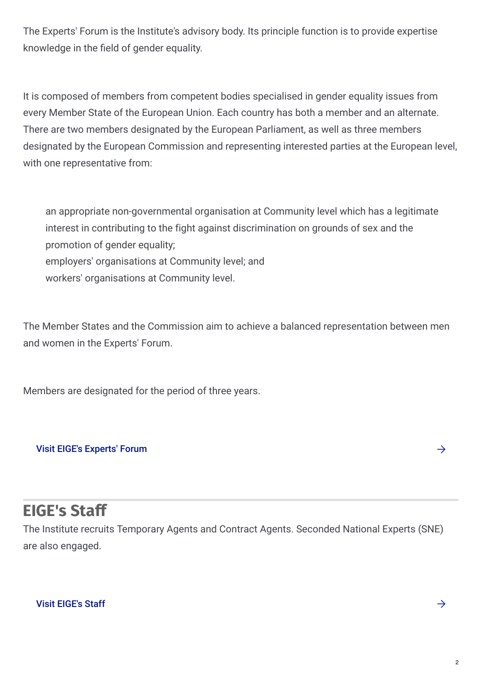The Experts' Forum is the Institute's advisory body. Its principle function is to provide expertise knowledge in the field of gender equality.

It is composed of members from competent bodies specialised in gender equality issues from every Member State of the European Union. Each country has both a member and an alternate. There are two members designated by the European Parliament, as well as three members designated by the European Commission and representing interested parties at the European level, with one representative from:

an appropriate non-governmental organisation at Community level which has a legitimate interest in contributing to the fight against discrimination on grounds of sex and the promotion of gender equality; employers' organisations at Community level; and workers' organisations at Community level.

The Member States and the Commission aim to achieve a balanced representation between men and women in the Experts' Forum.

Members are designated for the period of three years.

## Visit EIGE's [Experts'](https://eige.europa.eu/about-eige/eiges-structure/experts-forum) Forum

## **EIGE's Staff**

The Institute recruits Temporary Agents and Contract Agents. Seconded National Experts (SNE) are also engaged.